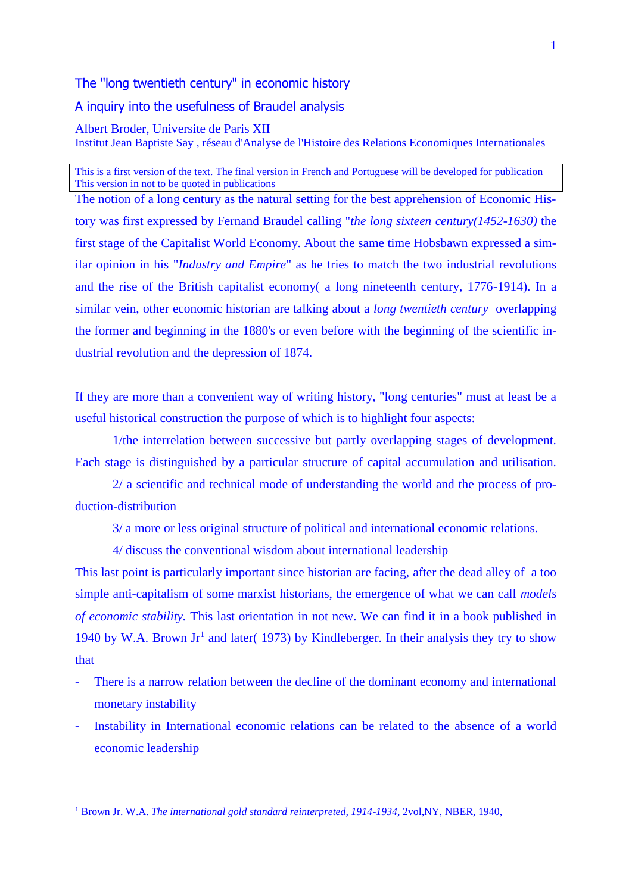The "long twentieth century" in economic history

A inquiry into the usefulness of Braudel analysis

Albert Broder, Universite de Paris XII Institut Jean Baptiste Say , réseau d'Analyse de l'Histoire des Relations Economiques Internationales

This is a first version of the text. The final version in French and Portuguese will be developed for publication This version in not to be quoted in publications

The notion of a long century as the natural setting for the best apprehension of Economic History was first expressed by Fernand Braudel calling "*the long sixteen century(1452-1630)* the first stage of the Capitalist World Economy. About the same time Hobsbawn expressed a similar opinion in his "*Industry and Empire*" as he tries to match the two industrial revolutions and the rise of the British capitalist economy( a long nineteenth century, 1776-1914). In a similar vein, other economic historian are talking about a *long twentieth century* overlapping the former and beginning in the 1880's or even before with the beginning of the scientific industrial revolution and the depression of 1874.

If they are more than a convenient way of writing history, "long centuries" must at least be a useful historical construction the purpose of which is to highlight four aspects:

1/the interrelation between successive but partly overlapping stages of development. Each stage is distinguished by a particular structure of capital accumulation and utilisation.

2/ a scientific and technical mode of understanding the world and the process of production-distribution

3/ a more or less original structure of political and international economic relations.

4/ discuss the conventional wisdom about international leadership

This last point is particularly important since historian are facing, after the dead alley of a too simple anti-capitalism of some marxist historians, the emergence of what we can call *models of economic stability.* This last orientation in not new. We can find it in a book published in 1940 by W.A. Brown  $Jr^1$  and later( 1973) by Kindleberger. In their analysis they try to show that

- There is a narrow relation between the decline of the dominant economy and international monetary instability
- Instability in International economic relations can be related to the absence of a world economic leadership

<sup>&</sup>lt;sup>1</sup> Brown Jr. W.A. *The international gold standard reinterpreted, 1914-1934, 2vol,NY, NBER, 1940,*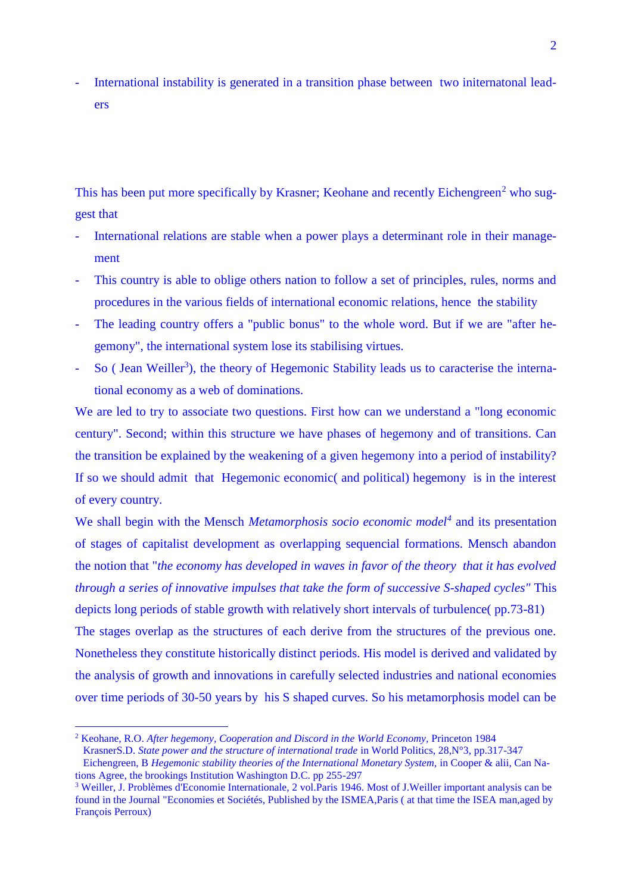International instability is generated in a transition phase between two initernatonal leaders

This has been put more specifically by Krasner; Keohane and recently Eichengreen<sup>2</sup> who suggest that

- International relations are stable when a power plays a determinant role in their management
- This country is able to oblige others nation to follow a set of principles, rules, norms and procedures in the various fields of international economic relations, hence the stability
- The leading country offers a "public bonus" to the whole word. But if we are "after hegemony", the international system lose its stabilising virtues.
- So (Jean Weiller<sup>3</sup>), the theory of Hegemonic Stability leads us to caracterise the international economy as a web of dominations.

We are led to try to associate two questions. First how can we understand a "long economic century". Second; within this structure we have phases of hegemony and of transitions. Can the transition be explained by the weakening of a given hegemony into a period of instability? If so we should admit that Hegemonic economic( and political) hegemony is in the interest of every country.

We shall begin with the Mensch *Metamorphosis socio economic model<sup>4</sup>* and its presentation of stages of capitalist development as overlapping sequencial formations. Mensch abandon the notion that "*the economy has developed in waves in favor of the theory that it has evolved through a series of innovative impulses that take the form of successive S-shaped cycles"* This depicts long periods of stable growth with relatively short intervals of turbulence( pp.73-81) The stages overlap as the structures of each derive from the structures of the previous one. Nonetheless they constitute historically distinct periods. His model is derived and validated by the analysis of growth and innovations in carefully selected industries and national economies over time periods of 30-50 years by his S shaped curves. So his metamorphosis model can be

<sup>&</sup>lt;sup>2</sup> Keohane, R.O. *After hegemony, Cooperation and Discord in the World Economy, Princeton 1984* KrasnerS.D. *State power and the structure of international trade* in World Politics, 28,N°3, pp.317-347

Eichengreen, B *Hegemonic stability theories of the International Monetary System,* in Cooper & alii, Can Nations Agree, the brookings Institution Washington D.C. pp 255-297

<sup>3</sup> Weiller, J. Problèmes d'Economie Internationale, 2 vol.Paris 1946. Most of J.Weiller important analysis can be found in the Journal "Economies et Sociétés, Published by the ISMEA,Paris ( at that time the ISEA man,aged by François Perroux)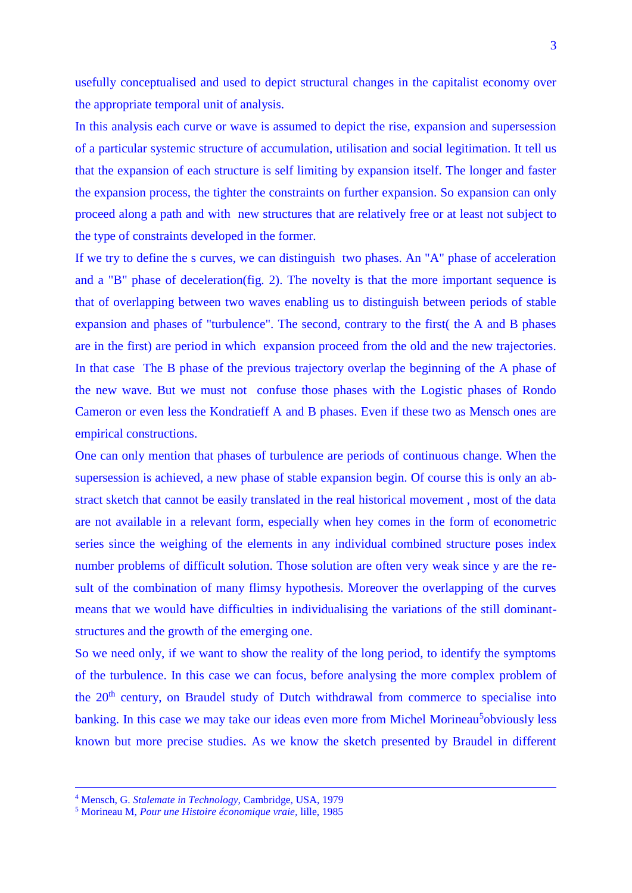usefully conceptualised and used to depict structural changes in the capitalist economy over the appropriate temporal unit of analysis.

In this analysis each curve or wave is assumed to depict the rise, expansion and supersession of a particular systemic structure of accumulation, utilisation and social legitimation. It tell us that the expansion of each structure is self limiting by expansion itself. The longer and faster the expansion process, the tighter the constraints on further expansion. So expansion can only proceed along a path and with new structures that are relatively free or at least not subject to the type of constraints developed in the former.

If we try to define the s curves, we can distinguish two phases. An "A" phase of acceleration and a "B" phase of deceleration(fig. 2). The novelty is that the more important sequence is that of overlapping between two waves enabling us to distinguish between periods of stable expansion and phases of "turbulence". The second, contrary to the first( the A and B phases are in the first) are period in which expansion proceed from the old and the new trajectories. In that case The B phase of the previous trajectory overlap the beginning of the A phase of the new wave. But we must not confuse those phases with the Logistic phases of Rondo Cameron or even less the Kondratieff A and B phases. Even if these two as Mensch ones are empirical constructions.

One can only mention that phases of turbulence are periods of continuous change. When the supersession is achieved, a new phase of stable expansion begin. Of course this is only an abstract sketch that cannot be easily translated in the real historical movement , most of the data are not available in a relevant form, especially when hey comes in the form of econometric series since the weighing of the elements in any individual combined structure poses index number problems of difficult solution. Those solution are often very weak since y are the result of the combination of many flimsy hypothesis. Moreover the overlapping of the curves means that we would have difficulties in individualising the variations of the still dominantstructures and the growth of the emerging one.

So we need only, if we want to show the reality of the long period, to identify the symptoms of the turbulence. In this case we can focus, before analysing the more complex problem of the  $20<sup>th</sup>$  century, on Braudel study of Dutch withdrawal from commerce to specialise into banking. In this case we may take our ideas even more from Michel Morineau<sup>5</sup>obviously less known but more precise studies. As we know the sketch presented by Braudel in different

 $\overline{a}$ 

<sup>4</sup> Mensch, G. *Stalemate in Technology,* Cambridge, USA, 1979

<sup>5</sup> Morineau M, *Pour une Histoire économique vraie,* lille, 1985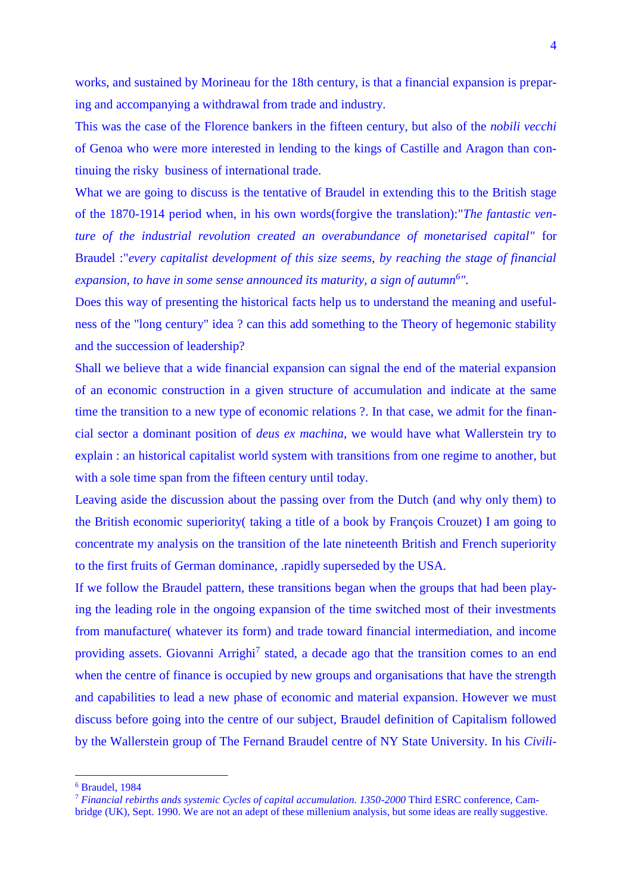works, and sustained by Morineau for the 18th century, is that a financial expansion is preparing and accompanying a withdrawal from trade and industry.

This was the case of the Florence bankers in the fifteen century, but also of the *nobili vecchi*  of Genoa who were more interested in lending to the kings of Castille and Aragon than continuing the risky business of international trade.

What we are going to discuss is the tentative of Braudel in extending this to the British stage of the 1870-1914 period when, in his own words(forgive the translation):"*The fantastic venture of the industrial revolution created an overabundance of monetarised capital"* for Braudel :"*every capitalist development of this size seems, by reaching the stage of financial expansion, to have in some sense announced its maturity, a sign of autumn<sup>6</sup> ".*

Does this way of presenting the historical facts help us to understand the meaning and usefulness of the "long century" idea ? can this add something to the Theory of hegemonic stability and the succession of leadership?

Shall we believe that a wide financial expansion can signal the end of the material expansion of an economic construction in a given structure of accumulation and indicate at the same time the transition to a new type of economic relations ?. In that case, we admit for the financial sector a dominant position of *deus ex machina*, we would have what Wallerstein try to explain : an historical capitalist world system with transitions from one regime to another, but with a sole time span from the fifteen century until today.

Leaving aside the discussion about the passing over from the Dutch (and why only them) to the British economic superiority( taking a title of a book by François Crouzet) I am going to concentrate my analysis on the transition of the late nineteenth British and French superiority to the first fruits of German dominance, .rapidly superseded by the USA.

If we follow the Braudel pattern, these transitions began when the groups that had been playing the leading role in the ongoing expansion of the time switched most of their investments from manufacture( whatever its form) and trade toward financial intermediation, and income providing assets. Giovanni Arrighi<sup>7</sup> stated, a decade ago that the transition comes to an end when the centre of finance is occupied by new groups and organisations that have the strength and capabilities to lead a new phase of economic and material expansion. However we must discuss before going into the centre of our subject, Braudel definition of Capitalism followed by the Wallerstein group of The Fernand Braudel centre of NY State University. In his *Civili-*

<sup>6</sup> Braudel, 1984

<sup>7</sup> *Financial rebirths ands systemic Cycles of capital accumulation. 1350-2000* Third ESRC conference, Cam-

bridge (UK), Sept. 1990. We are not an adept of these millenium analysis, but some ideas are really suggestive.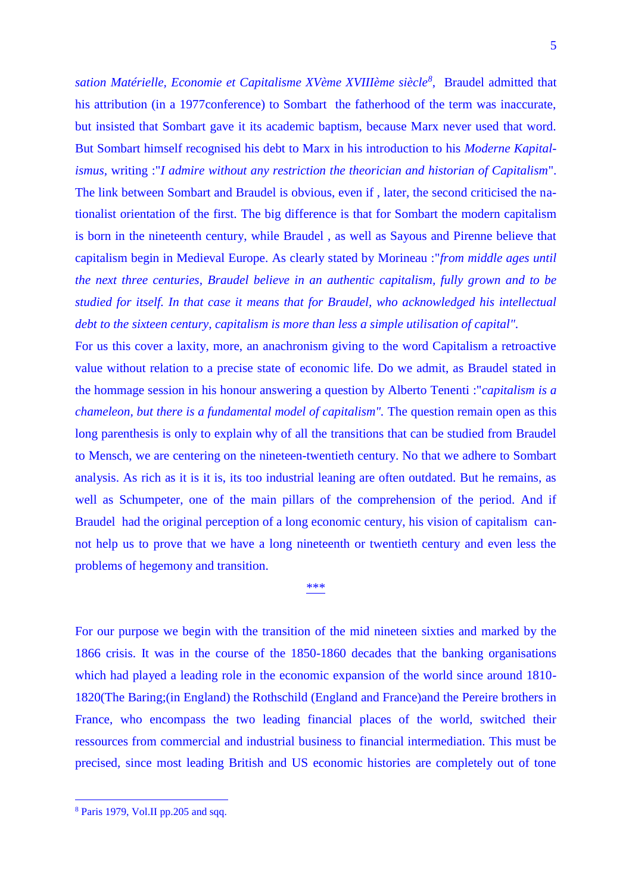*sation Matérielle, Economie et Capitalisme XVème XVIIIème siècle<sup>8</sup>* , Braudel admitted that his attribution (in a 1977conference) to Sombart the fatherhood of the term was inaccurate, but insisted that Sombart gave it its academic baptism, because Marx never used that word. But Sombart himself recognised his debt to Marx in his introduction to his *Moderne Kapitalismus,* writing :"*I admire without any restriction the theorician and historian of Capitalism*". The link between Sombart and Braudel is obvious, even if , later, the second criticised the nationalist orientation of the first. The big difference is that for Sombart the modern capitalism is born in the nineteenth century, while Braudel , as well as Sayous and Pirenne believe that capitalism begin in Medieval Europe. As clearly stated by Morineau :"*from middle ages until the next three centuries, Braudel believe in an authentic capitalism, fully grown and to be studied for itself. In that case it means that for Braudel, who acknowledged his intellectual debt to the sixteen century, capitalism is more than less a simple utilisation of capital".*

For us this cover a laxity, more, an anachronism giving to the word Capitalism a retroactive value without relation to a precise state of economic life. Do we admit, as Braudel stated in the hommage session in his honour answering a question by Alberto Tenenti :"*capitalism is a chameleon, but there is a fundamental model of capitalism". The question remain open as this* long parenthesis is only to explain why of all the transitions that can be studied from Braudel to Mensch, we are centering on the nineteen-twentieth century. No that we adhere to Sombart analysis. As rich as it is it is, its too industrial leaning are often outdated. But he remains, as well as Schumpeter, one of the main pillars of the comprehension of the period. And if Braudel had the original perception of a long economic century, his vision of capitalism cannot help us to prove that we have a long nineteenth or twentieth century and even less the problems of hegemony and transition.

\*\*\*

For our purpose we begin with the transition of the mid nineteen sixties and marked by the 1866 crisis. It was in the course of the 1850-1860 decades that the banking organisations which had played a leading role in the economic expansion of the world since around 1810- 1820(The Baring;(in England) the Rothschild (England and France)and the Pereire brothers in France, who encompass the two leading financial places of the world, switched their ressources from commercial and industrial business to financial intermediation. This must be precised, since most leading British and US economic histories are completely out of tone

<sup>8</sup> Paris 1979, Vol.II pp.205 and sqq.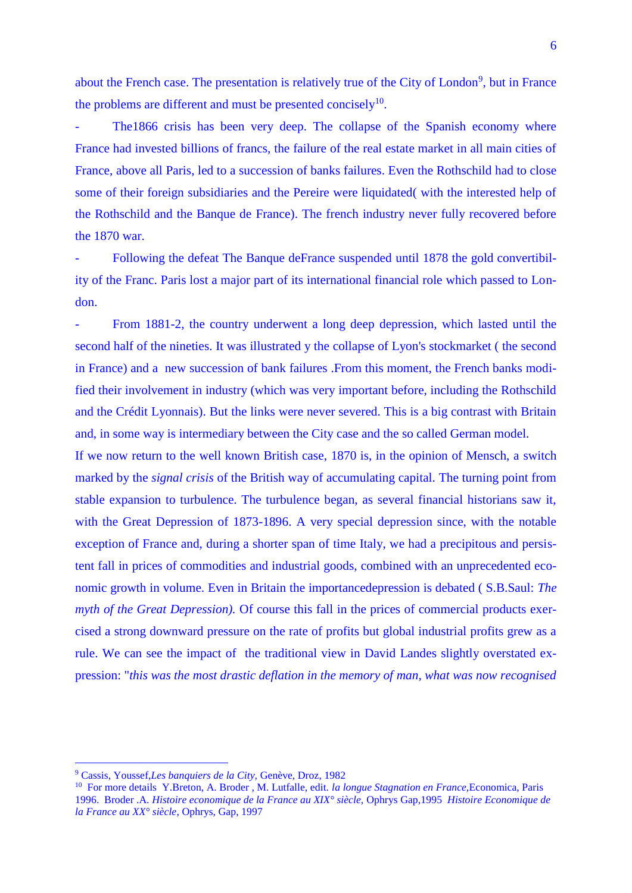about the French case. The presentation is relatively true of the City of London<sup>9</sup>, but in France the problems are different and must be presented concisely $10$ .

The 1866 crisis has been very deep. The collapse of the Spanish economy where France had invested billions of francs, the failure of the real estate market in all main cities of France, above all Paris, led to a succession of banks failures. Even the Rothschild had to close some of their foreign subsidiaries and the Pereire were liquidated( with the interested help of the Rothschild and the Banque de France). The french industry never fully recovered before the 1870 war.

- Following the defeat The Banque deFrance suspended until 1878 the gold convertibility of the Franc. Paris lost a major part of its international financial role which passed to London.

From 1881-2, the country underwent a long deep depression, which lasted until the second half of the nineties. It was illustrated y the collapse of Lyon's stockmarket ( the second in France) and a new succession of bank failures .From this moment, the French banks modified their involvement in industry (which was very important before, including the Rothschild and the Crédit Lyonnais). But the links were never severed. This is a big contrast with Britain and, in some way is intermediary between the City case and the so called German model.

If we now return to the well known British case, 1870 is, in the opinion of Mensch, a switch marked by the *signal crisis* of the British way of accumulating capital. The turning point from stable expansion to turbulence. The turbulence began, as several financial historians saw it, with the Great Depression of 1873-1896. A very special depression since, with the notable exception of France and, during a shorter span of time Italy, we had a precipitous and persistent fall in prices of commodities and industrial goods, combined with an unprecedented economic growth in volume. Even in Britain the importancedepression is debated ( S.B.Saul: *The myth of the Great Depression*). Of course this fall in the prices of commercial products exercised a strong downward pressure on the rate of profits but global industrial profits grew as a rule. We can see the impact of the traditional view in David Landes slightly overstated expression: "*this was the most drastic deflation in the memory of man, what was now recognised* 

<sup>9</sup> Cassis, Youssef,*Les banquiers de la City,* Genève, Droz, 1982

<sup>10</sup> For more details Y.Breton, A. Broder , M. Lutfalle, edit. *la longue Stagnation en France,*Economica, Paris 1996. Broder .A. *Histoire economique de la France au XIX° siècle,* Ophrys Gap,1995 *Histoire Economique de la France au XX° siècle*, Ophrys, Gap, 1997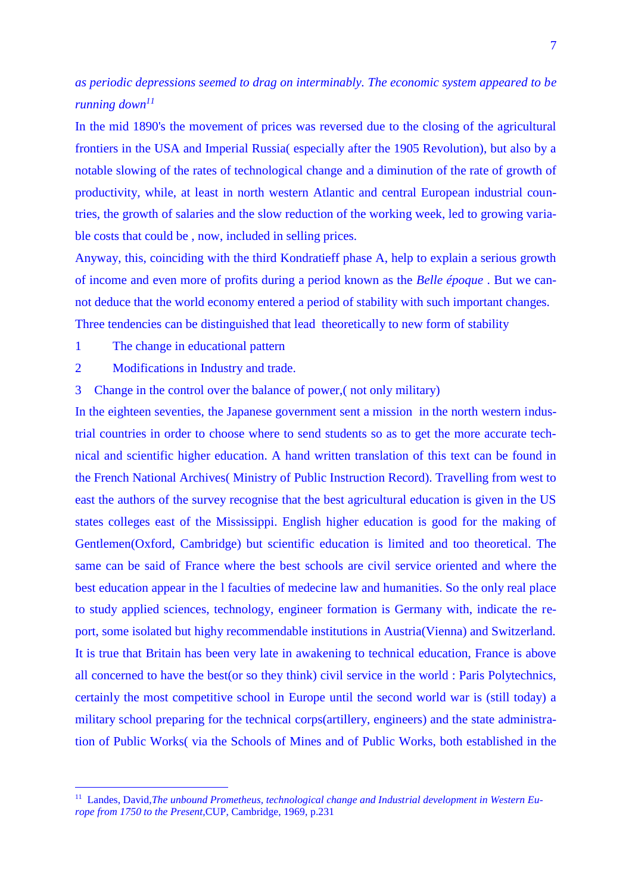## *as periodic depressions seemed to drag on interminably. The economic system appeared to be running down<sup>11</sup>*

In the mid 1890's the movement of prices was reversed due to the closing of the agricultural frontiers in the USA and Imperial Russia( especially after the 1905 Revolution), but also by a notable slowing of the rates of technological change and a diminution of the rate of growth of productivity, while, at least in north western Atlantic and central European industrial countries, the growth of salaries and the slow reduction of the working week, led to growing variable costs that could be , now, included in selling prices.

Anyway, this, coinciding with the third Kondratieff phase A, help to explain a serious growth of income and even more of profits during a period known as the *Belle époque* . But we cannot deduce that the world economy entered a period of stability with such important changes.

- Three tendencies can be distinguished that lead theoretically to new form of stability
- 1 The change in educational pattern

<u>.</u>

- 2 Modifications in Industry and trade.
- 3 Change in the control over the balance of power,( not only military)

In the eighteen seventies, the Japanese government sent a mission in the north western industrial countries in order to choose where to send students so as to get the more accurate technical and scientific higher education. A hand written translation of this text can be found in the French National Archives( Ministry of Public Instruction Record). Travelling from west to east the authors of the survey recognise that the best agricultural education is given in the US states colleges east of the Mississippi. English higher education is good for the making of Gentlemen(Oxford, Cambridge) but scientific education is limited and too theoretical. The same can be said of France where the best schools are civil service oriented and where the best education appear in the l faculties of medecine law and humanities. So the only real place to study applied sciences, technology, engineer formation is Germany with, indicate the report, some isolated but highy recommendable institutions in Austria(Vienna) and Switzerland. It is true that Britain has been very late in awakening to technical education, France is above all concerned to have the best(or so they think) civil service in the world : Paris Polytechnics, certainly the most competitive school in Europe until the second world war is (still today) a military school preparing for the technical corps(artillery, engineers) and the state administration of Public Works( via the Schools of Mines and of Public Works, both established in the

<sup>&</sup>lt;sup>11</sup> Landes, David, The unbound Prometheus, technological change and Industrial development in Western Eu*rope from 1750 to the Present,*CUP, Cambridge, 1969, p.231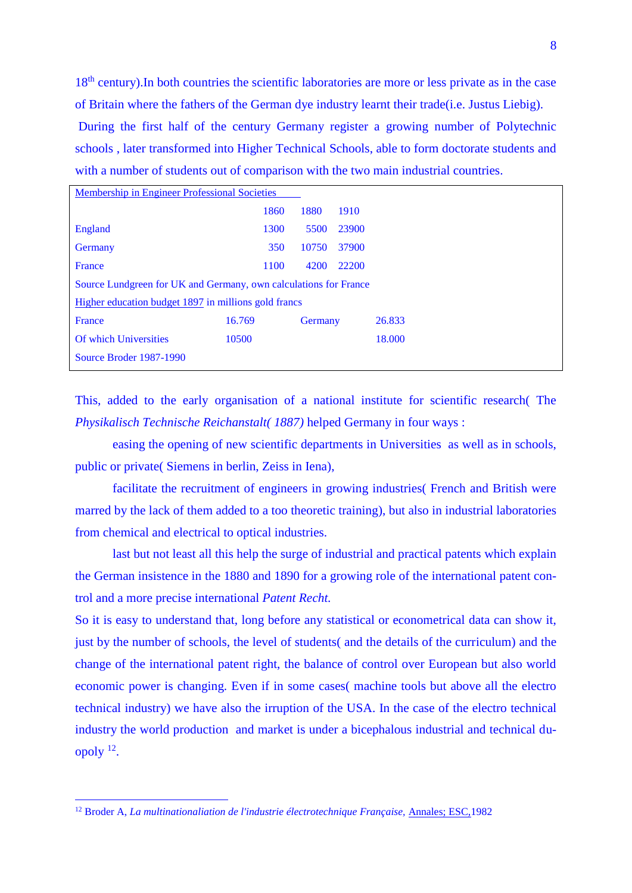18<sup>th</sup> century). In both countries the scientific laboratories are more or less private as in the case of Britain where the fathers of the German dye industry learnt their trade(i.e. Justus Liebig). During the first half of the century Germany register a growing number of Polytechnic schools , later transformed into Higher Technical Schools, able to form doctorate students and

with a number of students out of comparison with the two main industrial countries.

| Membership in Engineer Professional Societies                    |        |         |       |        |  |  |
|------------------------------------------------------------------|--------|---------|-------|--------|--|--|
|                                                                  |        |         |       |        |  |  |
|                                                                  | 1860   | 1880    | 1910  |        |  |  |
| <b>England</b>                                                   | 1300   | 5500    | 23900 |        |  |  |
| Germany                                                          | 350    | 10750   | 37900 |        |  |  |
| France                                                           | 1100   | 4200    | 22200 |        |  |  |
| Source Lundgreen for UK and Germany, own calculations for France |        |         |       |        |  |  |
| Higher education budget 1897 in millions gold francs             |        |         |       |        |  |  |
| France                                                           | 16.769 | Germany |       | 26.833 |  |  |
| Of which Universities                                            | 10500  |         |       | 18.000 |  |  |
| Source Broder 1987-1990                                          |        |         |       |        |  |  |

This, added to the early organisation of a national institute for scientific research( The *Physikalisch Technische Reichanstalt( 1887)* helped Germany in four ways :

easing the opening of new scientific departments in Universities as well as in schools, public or private( Siemens in berlin, Zeiss in Iena),

facilitate the recruitment of engineers in growing industries( French and British were marred by the lack of them added to a too theoretic training), but also in industrial laboratories from chemical and electrical to optical industries.

last but not least all this help the surge of industrial and practical patents which explain the German insistence in the 1880 and 1890 for a growing role of the international patent control and a more precise international *Patent Recht.*

So it is easy to understand that, long before any statistical or econometrical data can show it, just by the number of schools, the level of students( and the details of the curriculum) and the change of the international patent right, the balance of control over European but also world economic power is changing. Even if in some cases( machine tools but above all the electro technical industry) we have also the irruption of the USA. In the case of the electro technical industry the world production and market is under a bicephalous industrial and technical duopoly <sup>12</sup> .

<sup>&</sup>lt;sup>12</sup> Broder A, *La multinationaliation de l'industrie électrotechnique Française*, Annales: ESC,1982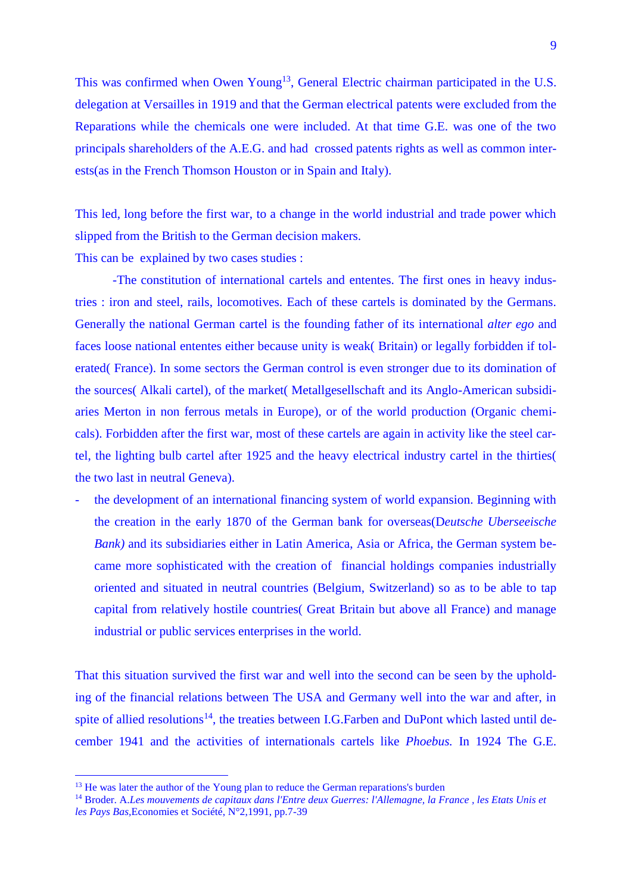This was confirmed when Owen Young<sup>13</sup>, General Electric chairman participated in the U.S. delegation at Versailles in 1919 and that the German electrical patents were excluded from the Reparations while the chemicals one were included. At that time G.E. was one of the two principals shareholders of the A.E.G. and had crossed patents rights as well as common interests(as in the French Thomson Houston or in Spain and Italy).

This led, long before the first war, to a change in the world industrial and trade power which slipped from the British to the German decision makers.

This can be explained by two cases studies :

-The constitution of international cartels and ententes. The first ones in heavy industries : iron and steel, rails, locomotives. Each of these cartels is dominated by the Germans. Generally the national German cartel is the founding father of its international *alter ego* and faces loose national ententes either because unity is weak( Britain) or legally forbidden if tolerated( France). In some sectors the German control is even stronger due to its domination of the sources( Alkali cartel), of the market( Metallgesellschaft and its Anglo-American subsidiaries Merton in non ferrous metals in Europe), or of the world production (Organic chemicals). Forbidden after the first war, most of these cartels are again in activity like the steel cartel, the lighting bulb cartel after 1925 and the heavy electrical industry cartel in the thirties( the two last in neutral Geneva).

- the development of an international financing system of world expansion. Beginning with the creation in the early 1870 of the German bank for overseas(D*eutsche Uberseeische Bank*) and its subsidiaries either in Latin America, Asia or Africa, the German system became more sophisticated with the creation of financial holdings companies industrially oriented and situated in neutral countries (Belgium, Switzerland) so as to be able to tap capital from relatively hostile countries( Great Britain but above all France) and manage industrial or public services enterprises in the world.

That this situation survived the first war and well into the second can be seen by the upholding of the financial relations between The USA and Germany well into the war and after, in spite of allied resolutions<sup>14</sup>, the treaties between I.G.Farben and DuPont which lasted until december 1941 and the activities of internationals cartels like *Phoebus.* In 1924 The G.E.

<sup>&</sup>lt;sup>13</sup> He was later the author of the Young plan to reduce the German reparations's burden

<sup>14</sup> Broder. A.*Les mouvements de capitaux dans l'Entre deux Guerres: l'Allemagne, la France , les Etats Unis et les Pays Bas,*Economies et Société, N°2,1991, pp.7-39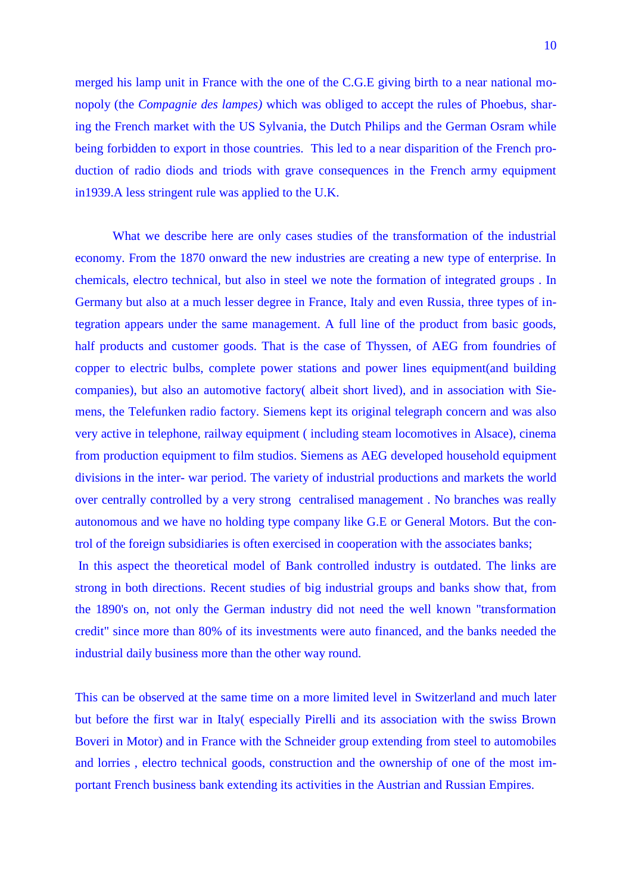merged his lamp unit in France with the one of the C.G.E giving birth to a near national monopoly (the *Compagnie des lampes)* which was obliged to accept the rules of Phoebus, sharing the French market with the US Sylvania, the Dutch Philips and the German Osram while being forbidden to export in those countries. This led to a near disparition of the French production of radio diods and triods with grave consequences in the French army equipment in1939.A less stringent rule was applied to the U.K.

What we describe here are only cases studies of the transformation of the industrial economy. From the 1870 onward the new industries are creating a new type of enterprise. In chemicals, electro technical, but also in steel we note the formation of integrated groups . In Germany but also at a much lesser degree in France, Italy and even Russia, three types of integration appears under the same management. A full line of the product from basic goods, half products and customer goods. That is the case of Thyssen, of AEG from foundries of copper to electric bulbs, complete power stations and power lines equipment(and building companies), but also an automotive factory( albeit short lived), and in association with Siemens, the Telefunken radio factory. Siemens kept its original telegraph concern and was also very active in telephone, railway equipment ( including steam locomotives in Alsace), cinema from production equipment to film studios. Siemens as AEG developed household equipment divisions in the inter- war period. The variety of industrial productions and markets the world over centrally controlled by a very strong centralised management . No branches was really autonomous and we have no holding type company like G.E or General Motors. But the control of the foreign subsidiaries is often exercised in cooperation with the associates banks;

In this aspect the theoretical model of Bank controlled industry is outdated. The links are strong in both directions. Recent studies of big industrial groups and banks show that, from the 1890's on, not only the German industry did not need the well known "transformation credit" since more than 80% of its investments were auto financed, and the banks needed the industrial daily business more than the other way round.

This can be observed at the same time on a more limited level in Switzerland and much later but before the first war in Italy( especially Pirelli and its association with the swiss Brown Boveri in Motor) and in France with the Schneider group extending from steel to automobiles and lorries , electro technical goods, construction and the ownership of one of the most important French business bank extending its activities in the Austrian and Russian Empires.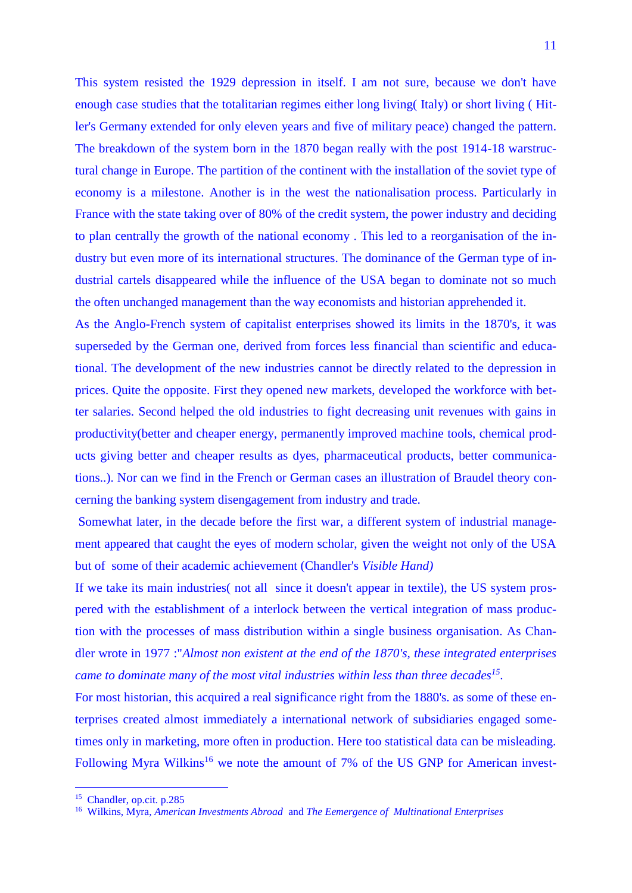This system resisted the 1929 depression in itself. I am not sure, because we don't have enough case studies that the totalitarian regimes either long living( Italy) or short living ( Hitler's Germany extended for only eleven years and five of military peace) changed the pattern. The breakdown of the system born in the 1870 began really with the post 1914-18 warstructural change in Europe. The partition of the continent with the installation of the soviet type of economy is a milestone. Another is in the west the nationalisation process. Particularly in France with the state taking over of 80% of the credit system, the power industry and deciding to plan centrally the growth of the national economy . This led to a reorganisation of the industry but even more of its international structures. The dominance of the German type of industrial cartels disappeared while the influence of the USA began to dominate not so much the often unchanged management than the way economists and historian apprehended it.

As the Anglo-French system of capitalist enterprises showed its limits in the 1870's, it was superseded by the German one, derived from forces less financial than scientific and educational. The development of the new industries cannot be directly related to the depression in prices. Quite the opposite. First they opened new markets, developed the workforce with better salaries. Second helped the old industries to fight decreasing unit revenues with gains in productivity(better and cheaper energy, permanently improved machine tools, chemical products giving better and cheaper results as dyes, pharmaceutical products, better communications..). Nor can we find in the French or German cases an illustration of Braudel theory concerning the banking system disengagement from industry and trade.

Somewhat later, in the decade before the first war, a different system of industrial management appeared that caught the eyes of modern scholar, given the weight not only of the USA but of some of their academic achievement (Chandler's *Visible Hand)*

If we take its main industries( not all since it doesn't appear in textile), the US system prospered with the establishment of a interlock between the vertical integration of mass production with the processes of mass distribution within a single business organisation. As Chandler wrote in 1977 :"*Almost non existent at the end of the 1870's, these integrated enterprises came to dominate many of the most vital industries within less than three decades<sup>15</sup> .*

For most historian, this acquired a real significance right from the 1880's. as some of these enterprises created almost immediately a international network of subsidiaries engaged sometimes only in marketing, more often in production. Here too statistical data can be misleading. Following Myra Wilkins<sup>16</sup> we note the amount of 7% of the US GNP for American invest-

<sup>15</sup> Chandler, op.cit. p.285

<sup>16</sup> Wilkins, Myra, *American Investments Abroad* and *The Eemergence of Multinational Enterprises*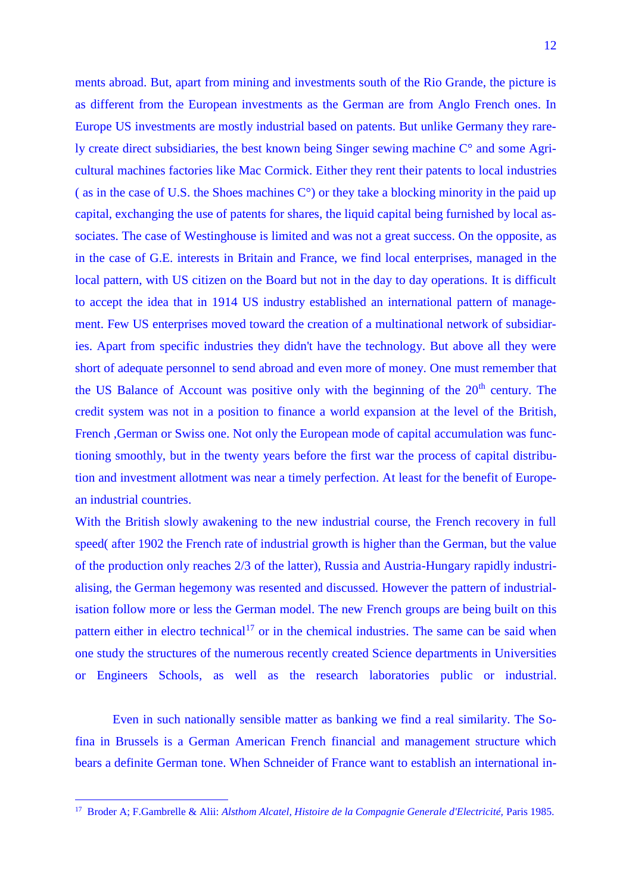ments abroad. But, apart from mining and investments south of the Rio Grande, the picture is as different from the European investments as the German are from Anglo French ones. In Europe US investments are mostly industrial based on patents. But unlike Germany they rarely create direct subsidiaries, the best known being Singer sewing machine C° and some Agricultural machines factories like Mac Cormick. Either they rent their patents to local industries (as in the case of U.S. the Shoes machines  $C^{\circ}$ ) or they take a blocking minority in the paid up capital, exchanging the use of patents for shares, the liquid capital being furnished by local associates. The case of Westinghouse is limited and was not a great success. On the opposite, as in the case of G.E. interests in Britain and France, we find local enterprises, managed in the local pattern, with US citizen on the Board but not in the day to day operations. It is difficult to accept the idea that in 1914 US industry established an international pattern of management. Few US enterprises moved toward the creation of a multinational network of subsidiaries. Apart from specific industries they didn't have the technology. But above all they were short of adequate personnel to send abroad and even more of money. One must remember that the US Balance of Account was positive only with the beginning of the  $20<sup>th</sup>$  century. The credit system was not in a position to finance a world expansion at the level of the British, French ,German or Swiss one. Not only the European mode of capital accumulation was functioning smoothly, but in the twenty years before the first war the process of capital distribution and investment allotment was near a timely perfection. At least for the benefit of European industrial countries.

With the British slowly awakening to the new industrial course, the French recovery in full speed( after 1902 the French rate of industrial growth is higher than the German, but the value of the production only reaches 2/3 of the latter), Russia and Austria-Hungary rapidly industrialising, the German hegemony was resented and discussed. However the pattern of industrialisation follow more or less the German model. The new French groups are being built on this pattern either in electro technical<sup>17</sup> or in the chemical industries. The same can be said when one study the structures of the numerous recently created Science departments in Universities or Engineers Schools, as well as the research laboratories public or industrial.

Even in such nationally sensible matter as banking we find a real similarity. The Sofina in Brussels is a German American French financial and management structure which bears a definite German tone. When Schneider of France want to establish an international in-

 17 Broder A; F.Gambrelle & Alii: *Alsthom Alcatel, Histoire de la Compagnie Generale d'Electricité,* Paris 1985.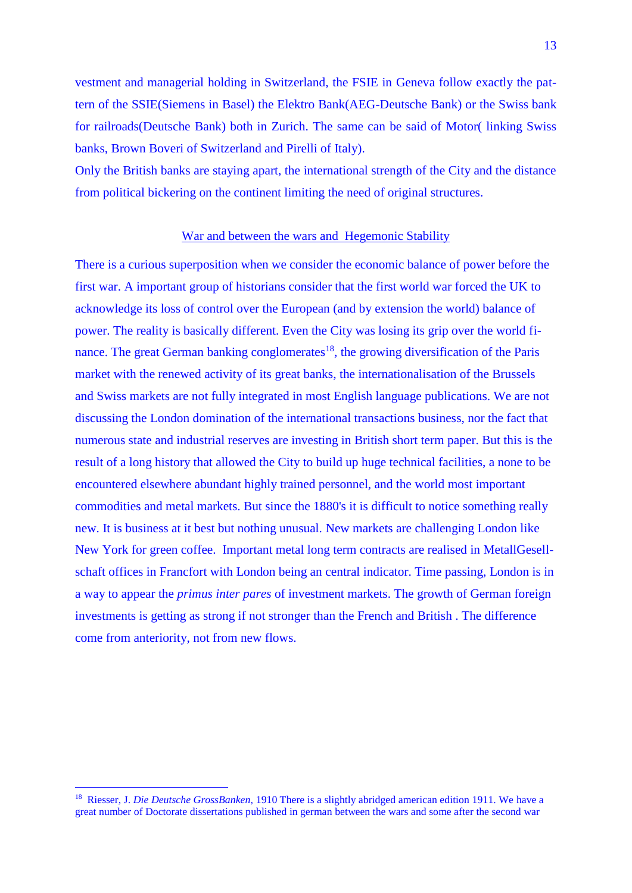vestment and managerial holding in Switzerland, the FSIE in Geneva follow exactly the pattern of the SSIE(Siemens in Basel) the Elektro Bank(AEG-Deutsche Bank) or the Swiss bank for railroads(Deutsche Bank) both in Zurich. The same can be said of Motor( linking Swiss banks, Brown Boveri of Switzerland and Pirelli of Italy).

Only the British banks are staying apart, the international strength of the City and the distance from political bickering on the continent limiting the need of original structures.

## War and between the wars and Hegemonic Stability

There is a curious superposition when we consider the economic balance of power before the first war. A important group of historians consider that the first world war forced the UK to acknowledge its loss of control over the European (and by extension the world) balance of power. The reality is basically different. Even the City was losing its grip over the world finance. The great German banking conglomerates<sup>18</sup>, the growing diversification of the Paris market with the renewed activity of its great banks, the internationalisation of the Brussels and Swiss markets are not fully integrated in most English language publications. We are not discussing the London domination of the international transactions business, nor the fact that numerous state and industrial reserves are investing in British short term paper. But this is the result of a long history that allowed the City to build up huge technical facilities, a none to be encountered elsewhere abundant highly trained personnel, and the world most important commodities and metal markets. But since the 1880's it is difficult to notice something really new. It is business at it best but nothing unusual. New markets are challenging London like New York for green coffee. Important metal long term contracts are realised in MetallGesellschaft offices in Francfort with London being an central indicator. Time passing, London is in a way to appear the *primus inter pares* of investment markets. The growth of German foreign investments is getting as strong if not stronger than the French and British . The difference come from anteriority, not from new flows.

<sup>&</sup>lt;sup>18</sup> Riesser, J. *Die Deutsche GrossBanken*, 1910 There is a slightly abridged american edition 1911. We have a great number of Doctorate dissertations published in german between the wars and some after the second war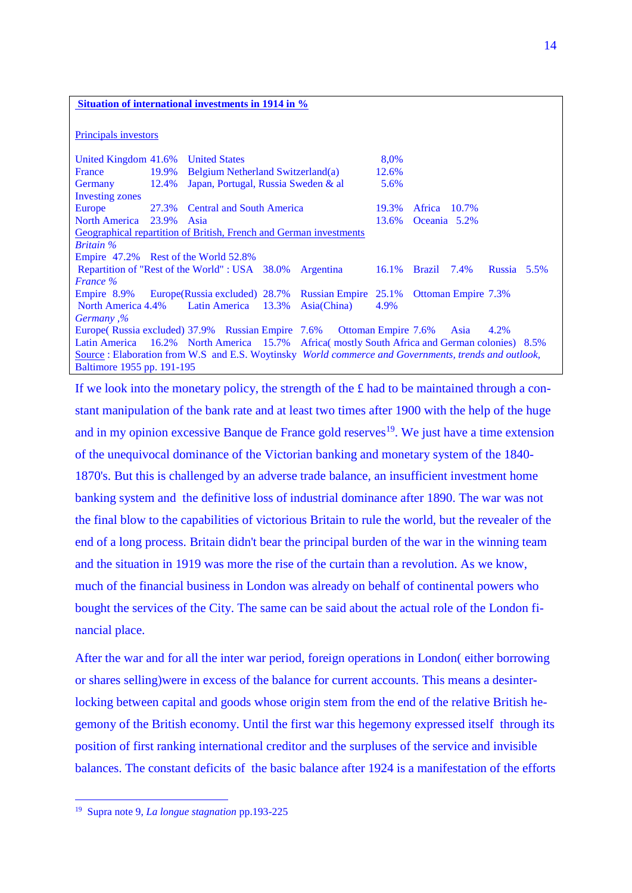## **Situation of international investments in 1914 in %**

Principals investors

| United Kingdom 41.6%                                                                                  |       | <b>United States</b>                |  |       |             |              | 8,0%   |                      |                            |             |  |
|-------------------------------------------------------------------------------------------------------|-------|-------------------------------------|--|-------|-------------|--------------|--------|----------------------|----------------------------|-------------|--|
| France                                                                                                | 19.9% | Belgium Netherland Switzerland(a)   |  |       | 12.6%       |              |        |                      |                            |             |  |
| <b>Germany</b>                                                                                        | 12.4% | Japan, Portugal, Russia Sweden & al |  |       | 5.6%        |              |        |                      |                            |             |  |
| <b>Investing zones</b>                                                                                |       |                                     |  |       |             |              |        |                      |                            |             |  |
| Europe                                                                                                |       | 27.3% Central and South America     |  |       |             | 19.3%        | Africa | 10.7%                |                            |             |  |
| <b>North America</b>                                                                                  | 23.9% | Asia                                |  |       | 13.6%       | Oceania 5.2% |        |                      |                            |             |  |
| Geographical repartition of British, French and German investments                                    |       |                                     |  |       |             |              |        |                      |                            |             |  |
| <b>Britain</b> %                                                                                      |       |                                     |  |       |             |              |        |                      |                            |             |  |
| Empire 47.2% Rest of the World 52.8%                                                                  |       |                                     |  |       |             |              |        |                      |                            |             |  |
| Repartition of "Rest of the World" : USA 38.0%                                                        |       |                                     |  |       | Argentina   |              | 16.1%  | $\text{Brazil}$ 7.4% |                            | Russia 5.5% |  |
| <b>France</b> %                                                                                       |       |                                     |  |       |             |              |        |                      |                            |             |  |
| Empire 8.9% Europe (Russia excluded) 28.7% Russian Empire 25.1%                                       |       |                                     |  |       |             |              |        |                      | <b>Ottoman Empire 7.3%</b> |             |  |
| North America 4.4%                                                                                    |       | Latin America                       |  | 13.3% | Asia(China) |              | 4.9%   |                      |                            |             |  |
| <i>Germany</i> ,%                                                                                     |       |                                     |  |       |             |              |        |                      |                            |             |  |
| Europe (Russia excluded) 37.9% Russian Empire 7.6% Ottoman Empire 7.6%                                |       |                                     |  |       |             |              |        |                      | Asia                       | 4.2%        |  |
| Latin America 16.2% North America 15.7% Africa mostly South Africa and German colonies) 8.5%          |       |                                     |  |       |             |              |        |                      |                            |             |  |
| Source : Elaboration from W.S. and E.S. Woytinsky World commerce and Governments, trends and outlook, |       |                                     |  |       |             |              |        |                      |                            |             |  |
| Baltimore 1955 pp. 191-195                                                                            |       |                                     |  |       |             |              |        |                      |                            |             |  |

If we look into the monetary policy, the strength of the  $\pounds$  had to be maintained through a constant manipulation of the bank rate and at least two times after 1900 with the help of the huge and in my opinion excessive Banque de France gold reserves<sup>19</sup>. We just have a time extension of the unequivocal dominance of the Victorian banking and monetary system of the 1840- 1870's. But this is challenged by an adverse trade balance, an insufficient investment home banking system and the definitive loss of industrial dominance after 1890. The war was not the final blow to the capabilities of victorious Britain to rule the world, but the revealer of the end of a long process. Britain didn't bear the principal burden of the war in the winning team and the situation in 1919 was more the rise of the curtain than a revolution. As we know, much of the financial business in London was already on behalf of continental powers who bought the services of the City. The same can be said about the actual role of the London financial place.

After the war and for all the inter war period, foreign operations in London( either borrowing or shares selling)were in excess of the balance for current accounts. This means a desinterlocking between capital and goods whose origin stem from the end of the relative British hegemony of the British economy. Until the first war this hegemony expressed itself through its position of first ranking international creditor and the surpluses of the service and invisible balances. The constant deficits of the basic balance after 1924 is a manifestation of the efforts

<sup>19</sup> Supra note 9, *La longue stagnation* pp.193-225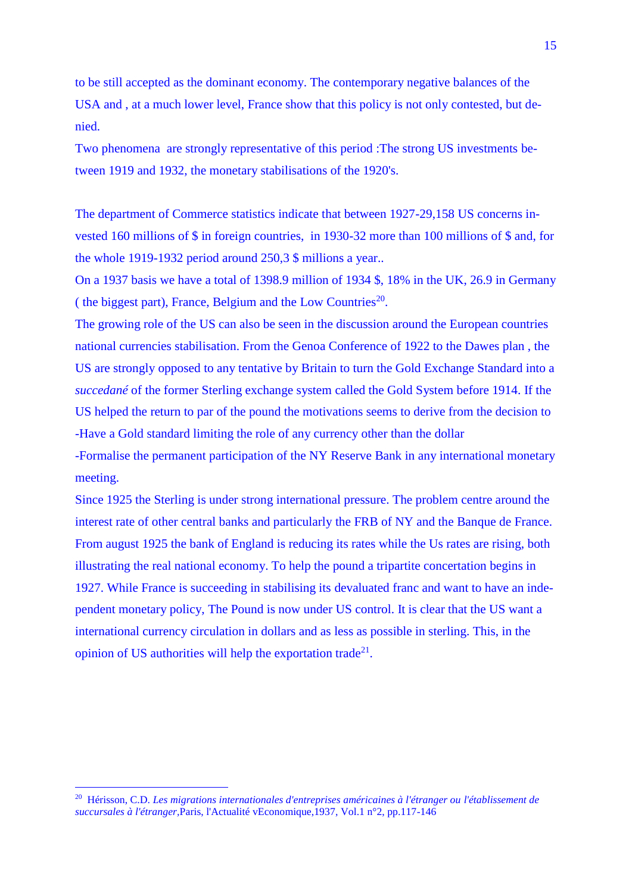to be still accepted as the dominant economy. The contemporary negative balances of the USA and , at a much lower level, France show that this policy is not only contested, but denied.

Two phenomena are strongly representative of this period :The strong US investments between 1919 and 1932, the monetary stabilisations of the 1920's.

The department of Commerce statistics indicate that between 1927-29,158 US concerns invested 160 millions of \$ in foreign countries, in 1930-32 more than 100 millions of \$ and, for the whole 1919-1932 period around 250,3 \$ millions a year..

On a 1937 basis we have a total of 1398.9 million of 1934 \$, 18% in the UK, 26.9 in Germany (the biggest part), France, Belgium and the Low Countries<sup>20</sup>.

The growing role of the US can also be seen in the discussion around the European countries national currencies stabilisation. From the Genoa Conference of 1922 to the Dawes plan , the US are strongly opposed to any tentative by Britain to turn the Gold Exchange Standard into a *succedané* of the former Sterling exchange system called the Gold System before 1914. If the US helped the return to par of the pound the motivations seems to derive from the decision to -Have a Gold standard limiting the role of any currency other than the dollar

-Formalise the permanent participation of the NY Reserve Bank in any international monetary meeting.

Since 1925 the Sterling is under strong international pressure. The problem centre around the interest rate of other central banks and particularly the FRB of NY and the Banque de France. From august 1925 the bank of England is reducing its rates while the Us rates are rising, both illustrating the real national economy. To help the pound a tripartite concertation begins in 1927. While France is succeeding in stabilising its devaluated franc and want to have an independent monetary policy, The Pound is now under US control. It is clear that the US want a international currency circulation in dollars and as less as possible in sterling. This, in the opinion of US authorities will help the exportation trade<sup>21</sup>.

<sup>20</sup> Hérisson, C.D. *Les migrations internationales d'entreprises américaines à l'étranger ou l'établissement de succursales à l'étranger,*Paris, l'Actualité vEconomique,1937, Vol.1 n°2, pp.117-146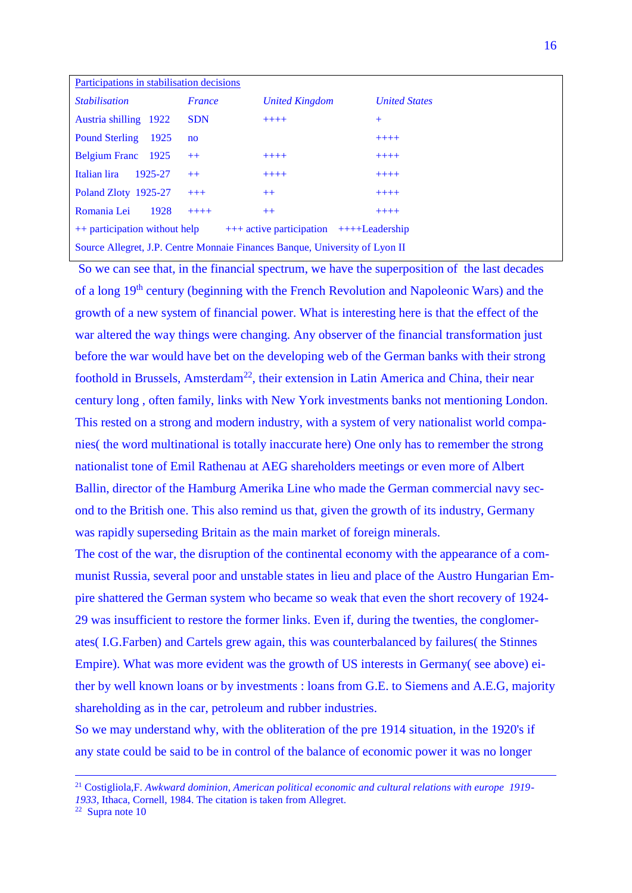| Participations in stabilisation decisions                                     |              |                       |                      |  |  |  |
|-------------------------------------------------------------------------------|--------------|-----------------------|----------------------|--|--|--|
| <i><u><b>Stabilisation</b></u></i>                                            | France       | <b>United Kingdom</b> | <b>United States</b> |  |  |  |
| Austria shilling 1922                                                         | <b>SDN</b>   | $+++++$               | $+$                  |  |  |  |
| <b>Pound Sterling</b><br>1925                                                 | $\mathbf{n}$ |                       | $++++-$              |  |  |  |
| Belgium Franc 1925                                                            | $++$         | $+++++$               | $+++++$              |  |  |  |
| Italian lira<br>1925-27                                                       | $++$         | $+++++$               | $+++++$              |  |  |  |
| Poland Zloty 1925-27                                                          | $+++$        | $++$                  | $++++-$              |  |  |  |
| Romania Lei<br>1928                                                           | $+++++$      | $++$                  | $+++++$              |  |  |  |
| ++ participation without help<br>$+++$ active participation $+++$ -Leadership |              |                       |                      |  |  |  |
| Source Allegret, J.P. Centre Monnaie Finances Banque, University of Lyon II   |              |                       |                      |  |  |  |
|                                                                               |              |                       |                      |  |  |  |

So we can see that, in the financial spectrum, we have the superposition of the last decades of a long 19<sup>th</sup> century (beginning with the French Revolution and Napoleonic Wars) and the growth of a new system of financial power. What is interesting here is that the effect of the war altered the way things were changing. Any observer of the financial transformation just before the war would have bet on the developing web of the German banks with their strong foothold in Brussels, Amsterdam<sup>22</sup>, their extension in Latin America and China, their near century long , often family, links with New York investments banks not mentioning London. This rested on a strong and modern industry, with a system of very nationalist world companies( the word multinational is totally inaccurate here) One only has to remember the strong nationalist tone of Emil Rathenau at AEG shareholders meetings or even more of Albert Ballin, director of the Hamburg Amerika Line who made the German commercial navy second to the British one. This also remind us that, given the growth of its industry, Germany was rapidly superseding Britain as the main market of foreign minerals.

The cost of the war, the disruption of the continental economy with the appearance of a communist Russia, several poor and unstable states in lieu and place of the Austro Hungarian Empire shattered the German system who became so weak that even the short recovery of 1924- 29 was insufficient to restore the former links. Even if, during the twenties, the conglomerates( I.G.Farben) and Cartels grew again, this was counterbalanced by failures( the Stinnes Empire). What was more evident was the growth of US interests in Germany( see above) either by well known loans or by investments : loans from G.E. to Siemens and A.E.G, majority shareholding as in the car, petroleum and rubber industries.

So we may understand why, with the obliteration of the pre 1914 situation, in the 1920's if any state could be said to be in control of the balance of economic power it was no longer

 $\overline{a}$ 

<sup>21</sup> Costigliola,F. *Awkward dominion, American political economic and cultural relations with europe 1919- 1933,* Ithaca, Cornell, 1984. The citation is taken from Allegret.

 $22$  Supra note 10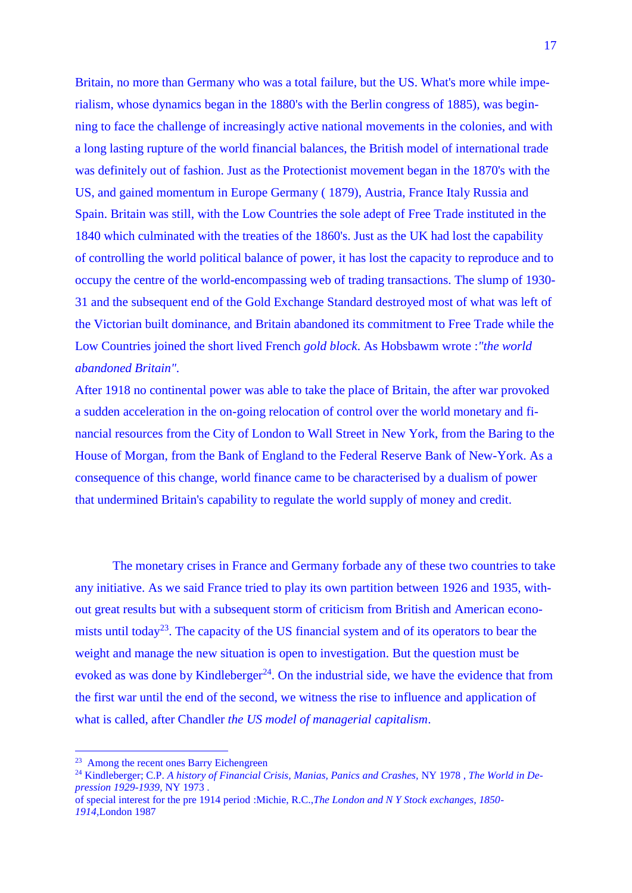Britain, no more than Germany who was a total failure, but the US. What's more while imperialism, whose dynamics began in the 1880's with the Berlin congress of 1885), was beginning to face the challenge of increasingly active national movements in the colonies, and with a long lasting rupture of the world financial balances, the British model of international trade was definitely out of fashion. Just as the Protectionist movement began in the 1870's with the US, and gained momentum in Europe Germany ( 1879), Austria, France Italy Russia and Spain. Britain was still, with the Low Countries the sole adept of Free Trade instituted in the 1840 which culminated with the treaties of the 1860's. Just as the UK had lost the capability of controlling the world political balance of power, it has lost the capacity to reproduce and to occupy the centre of the world-encompassing web of trading transactions. The slump of 1930- 31 and the subsequent end of the Gold Exchange Standard destroyed most of what was left of the Victorian built dominance, and Britain abandoned its commitment to Free Trade while the Low Countries joined the short lived French *gold block*. As Hobsbawm wrote :*"the world abandoned Britain".*

After 1918 no continental power was able to take the place of Britain, the after war provoked a sudden acceleration in the on-going relocation of control over the world monetary and financial resources from the City of London to Wall Street in New York, from the Baring to the House of Morgan, from the Bank of England to the Federal Reserve Bank of New-York. As a consequence of this change, world finance came to be characterised by a dualism of power that undermined Britain's capability to regulate the world supply of money and credit.

The monetary crises in France and Germany forbade any of these two countries to take any initiative. As we said France tried to play its own partition between 1926 and 1935, without great results but with a subsequent storm of criticism from British and American economists until today<sup>23</sup>. The capacity of the US financial system and of its operators to bear the weight and manage the new situation is open to investigation. But the question must be evoked as was done by Kindleberger<sup>24</sup>. On the industrial side, we have the evidence that from the first war until the end of the second, we witness the rise to influence and application of what is called, after Chandler *the US model of managerial capitalism*.

1

<sup>&</sup>lt;sup>23</sup> Among the recent ones Barry Eichengreen

<sup>24</sup> Kindleberger; C.P. *A history of Financial Crisis, Manias, Panics and Crashes,* NY 1978 , *The World in Depression 1929-1939,* NY 1973 .

of special interest for the pre 1914 period :Michie, R.C.,*The London and N Y Stock exchanges, 1850- 1914,*London 1987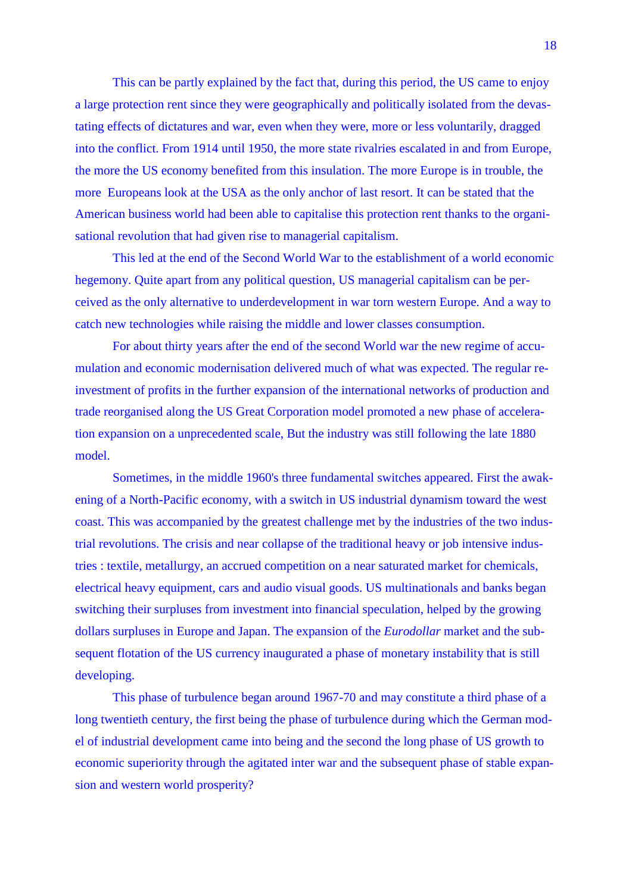This can be partly explained by the fact that, during this period, the US came to enjoy a large protection rent since they were geographically and politically isolated from the devastating effects of dictatures and war, even when they were, more or less voluntarily, dragged into the conflict. From 1914 until 1950, the more state rivalries escalated in and from Europe, the more the US economy benefited from this insulation. The more Europe is in trouble, the more Europeans look at the USA as the only anchor of last resort. It can be stated that the American business world had been able to capitalise this protection rent thanks to the organisational revolution that had given rise to managerial capitalism.

This led at the end of the Second World War to the establishment of a world economic hegemony. Quite apart from any political question, US managerial capitalism can be perceived as the only alternative to underdevelopment in war torn western Europe. And a way to catch new technologies while raising the middle and lower classes consumption.

For about thirty years after the end of the second World war the new regime of accumulation and economic modernisation delivered much of what was expected. The regular reinvestment of profits in the further expansion of the international networks of production and trade reorganised along the US Great Corporation model promoted a new phase of acceleration expansion on a unprecedented scale, But the industry was still following the late 1880 model.

Sometimes, in the middle 1960's three fundamental switches appeared. First the awakening of a North-Pacific economy, with a switch in US industrial dynamism toward the west coast. This was accompanied by the greatest challenge met by the industries of the two industrial revolutions. The crisis and near collapse of the traditional heavy or job intensive industries : textile, metallurgy, an accrued competition on a near saturated market for chemicals, electrical heavy equipment, cars and audio visual goods. US multinationals and banks began switching their surpluses from investment into financial speculation, helped by the growing dollars surpluses in Europe and Japan. The expansion of the *Eurodollar* market and the subsequent flotation of the US currency inaugurated a phase of monetary instability that is still developing.

This phase of turbulence began around 1967-70 and may constitute a third phase of a long twentieth century, the first being the phase of turbulence during which the German model of industrial development came into being and the second the long phase of US growth to economic superiority through the agitated inter war and the subsequent phase of stable expansion and western world prosperity?